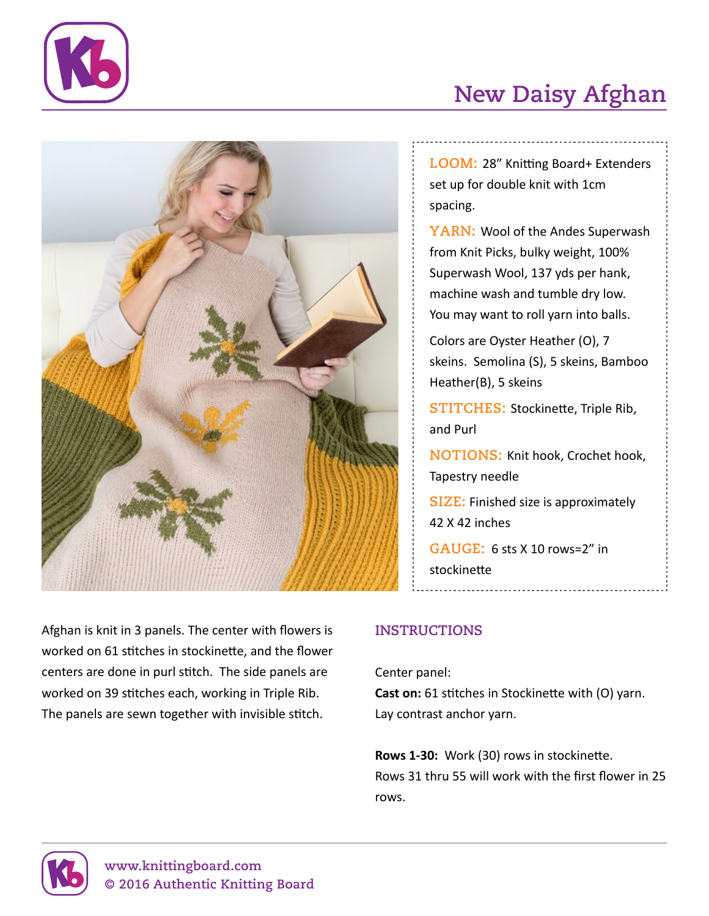



# **New Daisy Afghan**

**Loom:** 28" Knitting Board+ Extenders set up for double knit with 1cm spacing.

**YARN: Wool of the Andes Superwash** from Knit Picks, bulky weight, 100% Superwash Wool, 137 yds per hank, machine wash and tumble dry low. You may want to roll yarn into balls.

Colors are Oyster Heather (O), 7 skeins. Semolina (S), 5 skeins, Bamboo Heather(B), 5 skeins

**STITCHES: Stockinette, Triple Rib,** and Purl

**NOTIONS: Knit hook, Crochet hook,** Tapestry needle

**Size:** Finished size is approximately 42 X 42 inches

**Gauge:** 6 sts X 10 rows=2" in stockinette

Afghan is knit in 3 panels. The center with flowers is worked on 61 stitches in stockinette, and the flower centers are done in purl stitch. The side panels are worked on 39 stitches each, working in Triple Rib. The panels are sewn together with invisible stitch.

## **Instructions**

Center panel: **Cast on:** 61 stitches in Stockinette with (O) yarn. Lay contrast anchor yarn.

**Rows 1-30:** Work (30) rows in stockinette. Rows 31 thru 55 will work with the first flower in 25 rows.

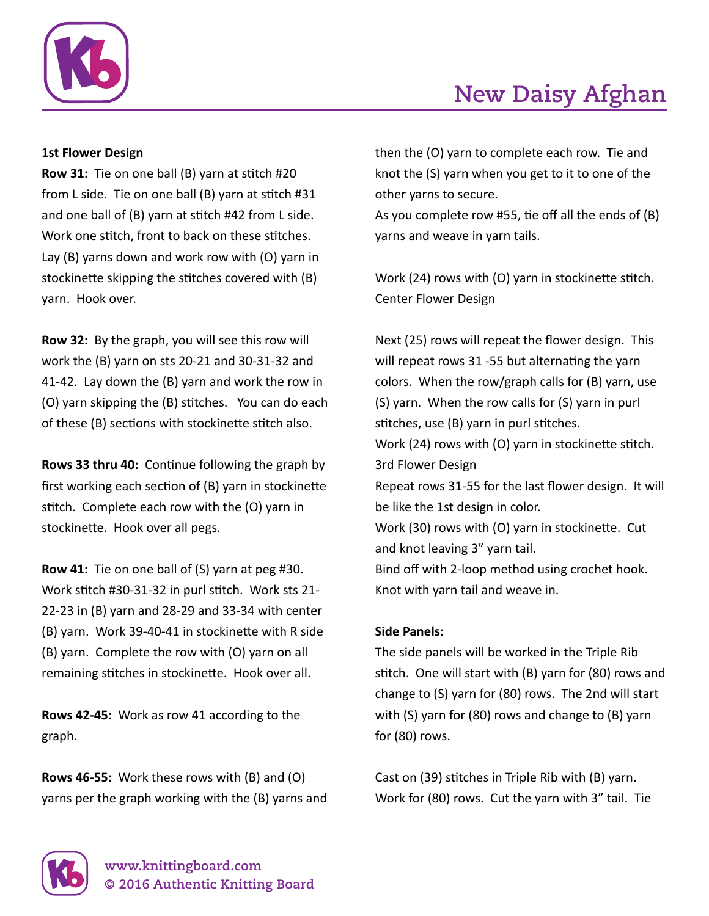

### **1st Flower Design**

**Row 31:** Tie on one ball (B) yarn at stitch #20 from L side. Tie on one ball (B) yarn at stitch #31 and one ball of (B) yarn at stitch #42 from L side. Work one stitch, front to back on these stitches. Lay (B) yarns down and work row with (O) yarn in stockinette skipping the stitches covered with (B) yarn. Hook over.

**Row 32:** By the graph, you will see this row will work the (B) yarn on sts 20-21 and 30-31-32 and 41-42. Lay down the (B) yarn and work the row in (O) yarn skipping the (B) stitches. You can do each of these (B) sections with stockinette stitch also.

**Rows 33 thru 40:** Continue following the graph by first working each section of (B) yarn in stockinette stitch. Complete each row with the (O) yarn in stockinette. Hook over all pegs.

**Row 41:** Tie on one ball of (S) yarn at peg #30. Work stitch #30-31-32 in purl stitch. Work sts 21- 22-23 in (B) yarn and 28-29 and 33-34 with center (B) yarn. Work 39-40-41 in stockinette with R side (B) yarn. Complete the row with (O) yarn on all remaining stitches in stockinette. Hook over all.

**Rows 42-45:** Work as row 41 according to the graph.

**Rows 46-55:** Work these rows with (B) and (O) yarns per the graph working with the (B) yarns and **New Daisy Afghan**

then the (O) yarn to complete each row. Tie and knot the (S) yarn when you get to it to one of the other yarns to secure.

As you complete row #55, tie off all the ends of (B) yarns and weave in yarn tails.

Work (24) rows with (O) yarn in stockinette stitch. Center Flower Design

Next (25) rows will repeat the flower design. This will repeat rows 31 -55 but alternating the yarn colors. When the row/graph calls for (B) yarn, use (S) yarn. When the row calls for (S) yarn in purl stitches, use (B) yarn in purl stitches. Work (24) rows with (O) yarn in stockinette stitch. 3rd Flower Design Repeat rows 31-55 for the last flower design. It will be like the 1st design in color. Work (30) rows with (O) yarn in stockinette. Cut and knot leaving 3" yarn tail. Bind off with 2-loop method using crochet hook. Knot with yarn tail and weave in.

#### **Side Panels:**

The side panels will be worked in the Triple Rib stitch. One will start with (B) yarn for (80) rows and change to (S) yarn for (80) rows. The 2nd will start with (S) yarn for (80) rows and change to (B) yarn for (80) rows.

Cast on (39) stitches in Triple Rib with (B) yarn. Work for (80) rows. Cut the yarn with 3" tail. Tie